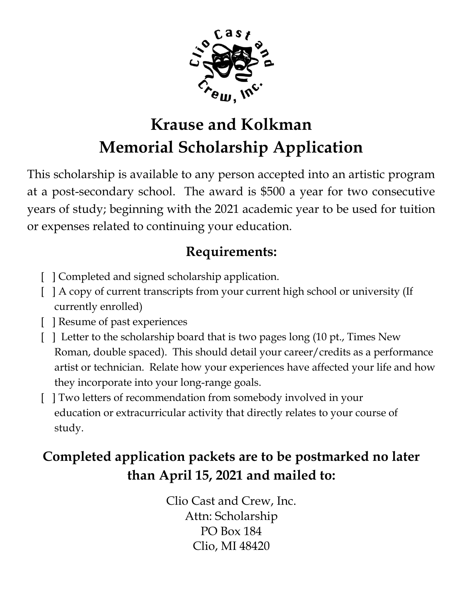

# **Krause and Kolkman Memorial Scholarship Application**

This scholarship is available to any person accepted into an artistic program at a post-secondary school. The award is \$500 a year for two consecutive years of study; beginning with the 2021 academic year to be used for tuition or expenses related to continuing your education.

## **Requirements:**

- [ ] Completed and signed scholarship application.
- [ ] A copy of current transcripts from your current high school or university (If currently enrolled)
- [ ] Resume of past experiences
- [ ] Letter to the scholarship board that is two pages long (10 pt., Times New Roman, double spaced). This should detail your career/credits as a performance artist or technician. Relate how your experiences have affected your life and how they incorporate into your long-range goals.
- [ ] Two letters of recommendation from somebody involved in your education or extracurricular activity that directly relates to your course of study.

# **Completed application packets are to be postmarked no later than April 15, 2021 and mailed to:**

Clio Cast and Crew, Inc. Attn: Scholarship PO Box 184 Clio, MI 48420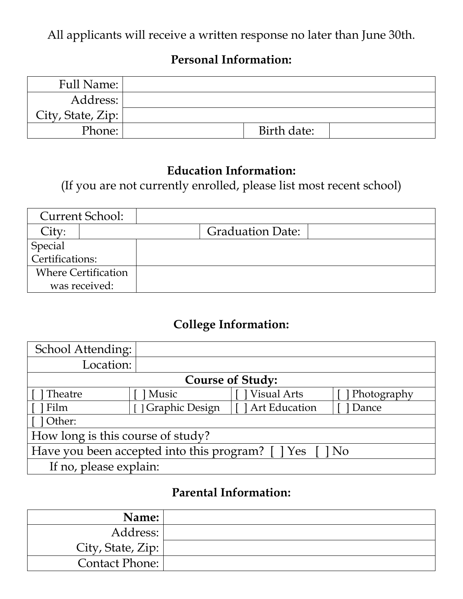All applicants will receive a written response no later than June 30th.

#### **Personal Information:**

| Full Name:        |             |  |
|-------------------|-------------|--|
| Address:          |             |  |
| City, State, Zip: |             |  |
| Phone:            | Birth date: |  |

#### **Education Information:**

(If you are not currently enrolled, please list most recent school)

|                            | <b>Current School:</b>     |                         |  |
|----------------------------|----------------------------|-------------------------|--|
| City:                      |                            | <b>Graduation Date:</b> |  |
| Special<br>Certifications: |                            |                         |  |
|                            |                            |                         |  |
|                            | <b>Where Certification</b> |                         |  |
|                            | was received:              |                         |  |

### **College Information:**

| School Attending:                                        |                       |                    |             |
|----------------------------------------------------------|-----------------------|--------------------|-------------|
| Location:                                                |                       |                    |             |
| <b>Course of Study:</b>                                  |                       |                    |             |
| Theatre                                                  | Music                 | <b>Visual Arts</b> | Photography |
| Film                                                     | <i>Craphic Design</i> | I Art Education    | Dance       |
| 1 Other:                                                 |                       |                    |             |
| How long is this course of study?                        |                       |                    |             |
| Have you been accepted into this program? [ ] Yes [ ] No |                       |                    |             |
| If no, please explain:                                   |                       |                    |             |

#### **Parental Information:**

| Name:                 |  |
|-----------------------|--|
| Address:              |  |
| City, State, Zip:     |  |
| <b>Contact Phone:</b> |  |